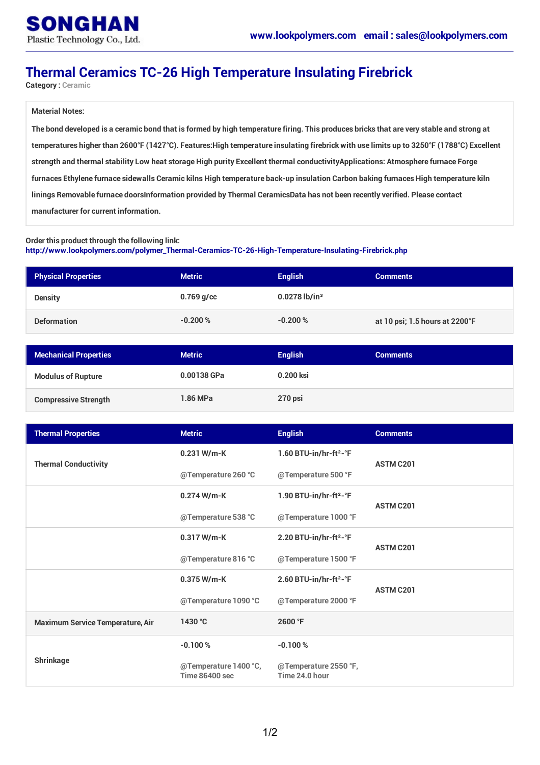## **Thermal Ceramics TC-26 High Temperature Insulating Firebrick**

**Category : Ceramic**

## **Material Notes:**

The bond developed is a ceramic bond that is formed by high temperature firing. This produces bricks that are very stable and strong at temperatures higher than 2600°F (1427°C). Features: High temperature insulating firebrick with use limits up to 3250°F (1788°C) Excellent strength and thermal stability Low heat storage High purity Excellent thermal conductivity Applications: Atmosphere furnace Forge furnaces Ethylene furnace sidewalls Ceramic kilns High temperature back-up insulation Carbon baking furnaces High temperature kiln linings Removable furnace doorsInformation provided by Thermal CeramicsData has not been recently verified. Please contact **manufacturer for current information.**

## **Order this product through the following link: [http://www.lookpolymers.com/polymer\\_Thermal-Ceramics-TC-26-High-Temperature-Insulating-Firebrick.php](http://www.lookpolymers.com/polymer_Thermal-Ceramics-TC-26-High-Temperature-Insulating-Firebrick.php)**

| <b>Physical Properties</b> | <b>Metric</b> | <b>English</b>              | <b>Comments</b>                |
|----------------------------|---------------|-----------------------------|--------------------------------|
| <b>Density</b>             | $0.769$ g/cc  | $0.0278$ lb/in <sup>3</sup> |                                |
| <b>Deformation</b>         | $-0.200%$     | $-0.200%$                   | at 10 psi; 1.5 hours at 2200°F |

| <b>Mechanical Properties</b> | <b>Metric</b> | <b>English</b> | <b>Comments</b> |
|------------------------------|---------------|----------------|-----------------|
| <b>Modulus of Rupture</b>    | 0.00138 GPa   | 0.200 ksi      |                 |
| <b>Compressive Strength</b>  | 1.86 MPa      | 270 psi        |                 |

| <b>Thermal Properties</b>               | <b>Metric</b>                                  | <b>English</b>                                  | <b>Comments</b>  |
|-----------------------------------------|------------------------------------------------|-------------------------------------------------|------------------|
| <b>Thermal Conductivity</b>             | $0.231$ W/m-K                                  | 1.60 BTU-in/hr-ft <sup>2</sup> - ${}^{\circ}$ F | <b>ASTM C201</b> |
|                                         | @Temperature 260 °C                            | @Temperature 500 °F                             |                  |
|                                         | 0.274 W/m-K                                    | 1.90 BTU-in/hr-ft <sup>2</sup> - $\degree$ F    | <b>ASTM C201</b> |
|                                         | @Temperature 538 °C                            | @Temperature 1000 °F                            |                  |
|                                         | 0.317 W/m-K                                    | 2.20 BTU-in/hr-ft <sup>2</sup> - ${}^{\circ}$ F | <b>ASTM C201</b> |
|                                         | @Temperature 816 °C                            | @Temperature 1500 °F                            |                  |
|                                         | 0.375 W/m-K                                    | 2.60 BTU-in/hr-ft <sup>2</sup> - ${}^{\circ}$ F | <b>ASTM C201</b> |
|                                         | @Temperature 1090 °C                           | @Temperature 2000 °F                            |                  |
| <b>Maximum Service Temperature, Air</b> | 1430 °C                                        | 2600 °F                                         |                  |
| <b>Shrinkage</b>                        | $-0.100%$                                      | $-0.100%$                                       |                  |
|                                         | @Temperature 1400 °C,<br><b>Time 86400 sec</b> | @Temperature 2550 °F,<br>Time 24.0 hour         |                  |